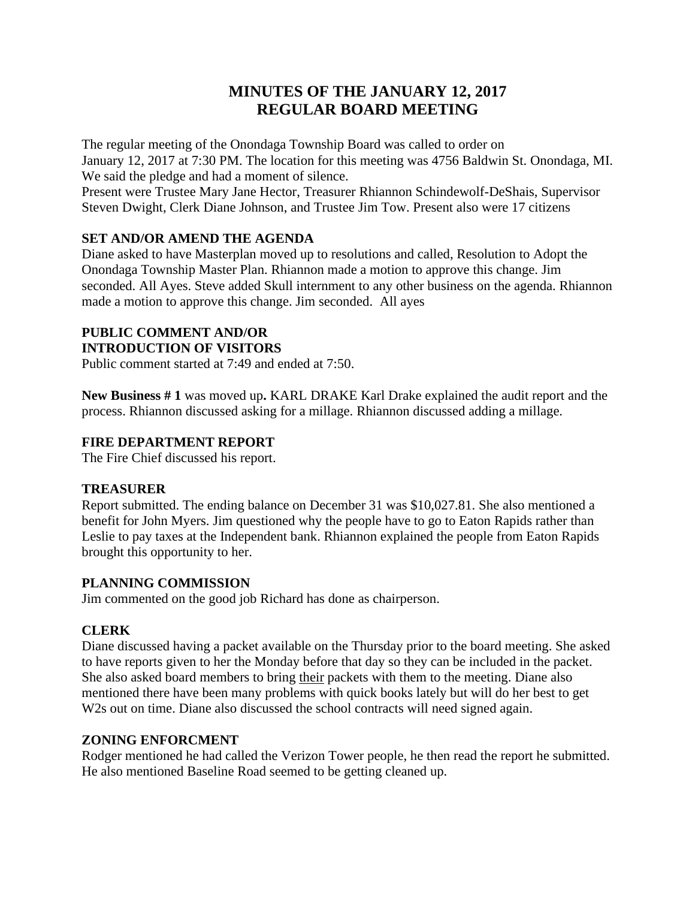# **MINUTES OF THE JANUARY 12, 2017 REGULAR BOARD MEETING**

The regular meeting of the Onondaga Township Board was called to order on January 12, 2017 at 7:30 PM. The location for this meeting was 4756 Baldwin St. Onondaga, MI. We said the pledge and had a moment of silence.

Present were Trustee Mary Jane Hector, Treasurer Rhiannon Schindewolf-DeShais, Supervisor Steven Dwight, Clerk Diane Johnson, and Trustee Jim Tow. Present also were 17 citizens

# **SET AND/OR AMEND THE AGENDA**

Diane asked to have Masterplan moved up to resolutions and called, Resolution to Adopt the Onondaga Township Master Plan. Rhiannon made a motion to approve this change. Jim seconded. All Ayes. Steve added Skull internment to any other business on the agenda. Rhiannon made a motion to approve this change. Jim seconded. All ayes

#### **PUBLIC COMMENT AND/OR INTRODUCTION OF VISITORS**

Public comment started at 7:49 and ended at 7:50.

**New Business # 1** was moved up**.** KARL DRAKE Karl Drake explained the audit report and the process. Rhiannon discussed asking for a millage. Rhiannon discussed adding a millage.

# **FIRE DEPARTMENT REPORT**

The Fire Chief discussed his report.

# **TREASURER**

Report submitted. The ending balance on December 31 was \$10,027.81. She also mentioned a benefit for John Myers. Jim questioned why the people have to go to Eaton Rapids rather than Leslie to pay taxes at the Independent bank. Rhiannon explained the people from Eaton Rapids brought this opportunity to her.

# **PLANNING COMMISSION**

Jim commented on the good job Richard has done as chairperson.

# **CLERK**

Diane discussed having a packet available on the Thursday prior to the board meeting. She asked to have reports given to her the Monday before that day so they can be included in the packet. She also asked board members to bring their packets with them to the meeting. Diane also mentioned there have been many problems with quick books lately but will do her best to get W<sub>2s</sub> out on time. Diane also discussed the school contracts will need signed again.

# **ZONING ENFORCMENT**

Rodger mentioned he had called the Verizon Tower people, he then read the report he submitted. He also mentioned Baseline Road seemed to be getting cleaned up.